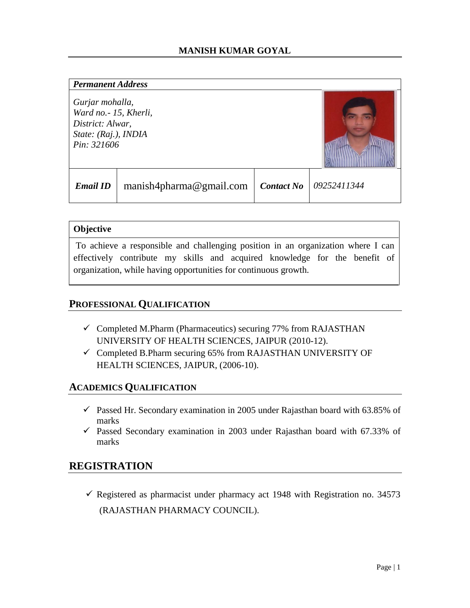#### *Permanent Address*

*Gurjar mohalla, Ward no.- 15, Kherli, District: Alwar, State: (Raj.), INDIA Pin: 321606* 



|  | <b>Email ID</b>   manish4pharma@gmail.com   Contact No   09252411344 |  |  |
|--|----------------------------------------------------------------------|--|--|
|--|----------------------------------------------------------------------|--|--|

### **Objective**

To achieve a responsible and challenging position in an organization where I can effectively contribute my skills and acquired knowledge for the benefit of organization, while having opportunities for continuous growth.

## **PROFESSIONAL QUALIFICATION**

- $\checkmark$  Completed M.Pharm (Pharmaceutics) securing 77% from RAJASTHAN UNIVERSITY OF HEALTH SCIENCES, JAIPUR (2010-12).
- $\checkmark$  Completed B.Pharm securing 65% from RAJASTHAN UNIVERSITY OF HEALTH SCIENCES, JAIPUR, (2006-10).

## **ACADEMICS QUALIFICATION**

- Passed Hr. Secondary examination in 2005 under Rajasthan board with  $63.85\%$  of marks
- $\checkmark$  Passed Secondary examination in 2003 under Rajasthan board with 67.33% of marks

# **REGISTRATION**

Registered as pharmacist under pharmacy act 1948 with Registration no.  $34573$ (RAJASTHAN PHARMACY COUNCIL).